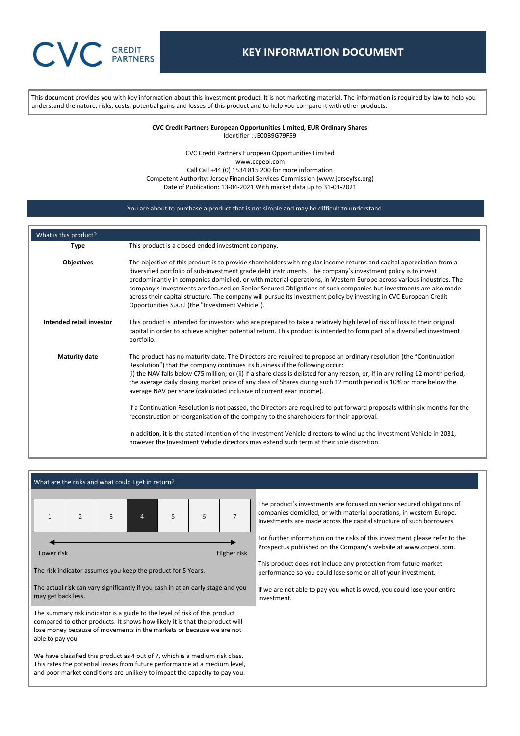# **CVC** CREDIT

# **KEY INFORMATION DOCUMENT**

This document provides you with key information about this investment product. It is not marketing material. The information is required by law to help you understand the nature, risks, costs, potential gains and losses of this product and to help you compare it with other products.

> **CVC Credit Partners European Opportunities Limited, EUR Ordinary Shares** Identifier : JE00B9G79F59

CVC Credit Partners European Opportunities Limited www.ccpeol.com Call Call +44 (0) 1534 815 200 for more information Competent Authority: Jersey Financial Services Commission (www.jerseyfsc.org) Date of Publication: 13-04-2021 With market data up to 31-03-2021

## You are about to purchase a product that is not simple and may be difficult to understand.

| What is this product?    |                                                                                                                                                                                                                                                                                                                                                                                                                                                                                                                                                                                                                                                           |
|--------------------------|-----------------------------------------------------------------------------------------------------------------------------------------------------------------------------------------------------------------------------------------------------------------------------------------------------------------------------------------------------------------------------------------------------------------------------------------------------------------------------------------------------------------------------------------------------------------------------------------------------------------------------------------------------------|
| <b>Type</b>              | This product is a closed-ended investment company.                                                                                                                                                                                                                                                                                                                                                                                                                                                                                                                                                                                                        |
| Objectives               | The objective of this product is to provide shareholders with regular income returns and capital appreciation from a<br>diversified portfolio of sub-investment grade debt instruments. The company's investment policy is to invest<br>predominantly in companies domiciled, or with material operations, in Western Europe across various industries. The<br>company's investments are focused on Senior Secured Obligations of such companies but investments are also made<br>across their capital structure. The company will pursue its investment policy by investing in CVC European Credit<br>Opportunities S.a.r. I (the "Investment Vehicle"). |
| Intended retail investor | This product is intended for investors who are prepared to take a relatively high level of risk of loss to their original<br>capital in order to achieve a higher potential return. This product is intended to form part of a diversified investment<br>portfolio.                                                                                                                                                                                                                                                                                                                                                                                       |
| <b>Maturity date</b>     | The product has no maturity date. The Directors are required to propose an ordinary resolution (the "Continuation"<br>Resolution") that the company continues its business if the following occur:<br>(i) the NAV falls below $\epsilon$ 75 million; or (ii) if a share class is delisted for any reason, or, if in any rolling 12 month period,<br>the average daily closing market price of any class of Shares during such 12 month period is 10% or more below the<br>average NAV per share (calculated inclusive of current year income).                                                                                                            |
|                          | If a Continuation Resolution is not passed, the Directors are required to put forward proposals within six months for the<br>reconstruction or reorganisation of the company to the shareholders for their approval.                                                                                                                                                                                                                                                                                                                                                                                                                                      |
|                          | In addition, it is the stated intention of the Investment Vehicle directors to wind up the Investment Vehicle in 2031,<br>however the Investment Vehicle directors may extend such term at their sole discretion.                                                                                                                                                                                                                                                                                                                                                                                                                                         |

|                                                                                                                                                                                                                                          | What are the risks and what could I get in return?                                                                                                                                                                                                    |  |  |  |  |  |                                                                                                                                                                                                                       |  |  |
|------------------------------------------------------------------------------------------------------------------------------------------------------------------------------------------------------------------------------------------|-------------------------------------------------------------------------------------------------------------------------------------------------------------------------------------------------------------------------------------------------------|--|--|--|--|--|-----------------------------------------------------------------------------------------------------------------------------------------------------------------------------------------------------------------------|--|--|
|                                                                                                                                                                                                                                          | $\overline{7}$<br>$\overline{2}$<br>5<br>3<br>6<br>4                                                                                                                                                                                                  |  |  |  |  |  | The product's investments are focused on senior secured obligations of<br>companies domiciled, or with material operations, in western Europe.<br>Investments are made across the capital structure of such borrowers |  |  |
| Higher risk<br>Lower risk                                                                                                                                                                                                                |                                                                                                                                                                                                                                                       |  |  |  |  |  | For further information on the risks of this investment please refer to the<br>Prospectus published on the Company's website at www.ccpeol.com.                                                                       |  |  |
|                                                                                                                                                                                                                                          | The risk indicator assumes you keep the product for 5 Years.                                                                                                                                                                                          |  |  |  |  |  | This product does not include any protection from future market<br>performance so you could lose some or all of your investment.                                                                                      |  |  |
|                                                                                                                                                                                                                                          | The actual risk can vary significantly if you cash in at an early stage and you<br>may get back less.                                                                                                                                                 |  |  |  |  |  | If we are not able to pay you what is owed, you could lose your entire<br>investment.                                                                                                                                 |  |  |
|                                                                                                                                                                                                                                          | The summary risk indicator is a guide to the level of risk of this product<br>compared to other products. It shows how likely it is that the product will<br>lose money because of movements in the markets or because we are not<br>able to pay you. |  |  |  |  |  |                                                                                                                                                                                                                       |  |  |
| We have classified this product as 4 out of 7, which is a medium risk class.<br>This rates the potential losses from future performance at a medium level,<br>and poor market conditions are unlikely to impact the capacity to pay you. |                                                                                                                                                                                                                                                       |  |  |  |  |  |                                                                                                                                                                                                                       |  |  |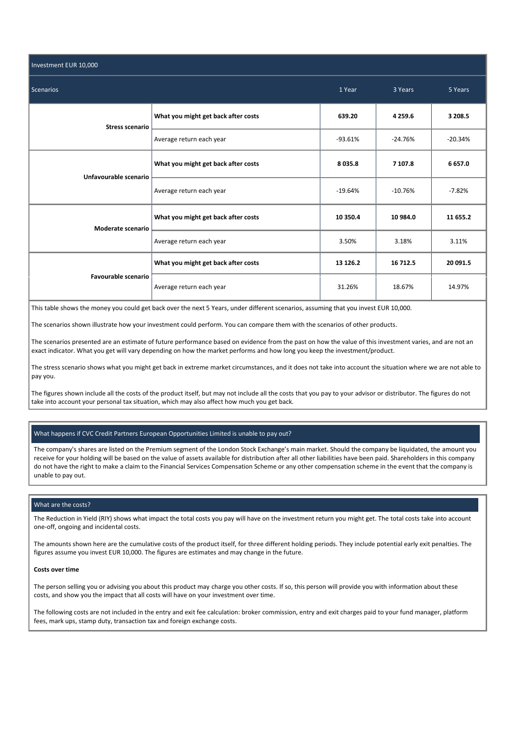| Investment EUR 10,000  |                                     |           |           |           |  |  |
|------------------------|-------------------------------------|-----------|-----------|-----------|--|--|
| <b>Scenarios</b>       | 1 Year                              | 3 Years   | 5 Years   |           |  |  |
| <b>Stress scenario</b> | What you might get back after costs | 639.20    | 4 2 5 9.6 | 3 208.5   |  |  |
|                        | Average return each year            | $-93.61%$ | $-24.76%$ | $-20.34%$ |  |  |
| Unfavourable scenario  | What you might get back after costs | 8035.8    | 7 107.8   | 6 657.0   |  |  |
|                        | Average return each year            | $-19.64%$ | $-10.76%$ | $-7.82%$  |  |  |
| Moderate scenario      | What you might get back after costs | 10 350.4  | 10 984.0  | 11 655.2  |  |  |
|                        | Average return each year            | 3.50%     | 3.18%     | 3.11%     |  |  |
|                        | What you might get back after costs | 13 126.2  | 16 712.5  | 20 091.5  |  |  |
| Favourable scenario    | Average return each year            | 31.26%    | 18.67%    | 14.97%    |  |  |

This table shows the money you could get back over the next 5 Years, under different scenarios, assuming that you invest EUR 10,000.

The scenarios shown illustrate how your investment could perform. You can compare them with the scenarios of other products.

The scenarios presented are an estimate of future performance based on evidence from the past on how the value of this investment varies, and are not an exact indicator. What you get will vary depending on how the market performs and how long you keep the investment/product.

The stress scenario shows what you might get back in extreme market circumstances, and it does not take into account the situation where we are not able to pay you.

The figures shown include all the costs of the product itself, but may not include all the costs that you pay to your advisor or distributor. The figures do not take into account your personal tax situation, which may also affect how much you get back.

# What happens if CVC Credit Partners European Opportunities Limited is unable to pay out?

The company's shares are listed on the Premium segment of the London Stock Exchange's main market. Should the company be liquidated, the amount you receive for your holding will be based on the value of assets available for distribution after all other liabilities have been paid. Shareholders in this company do not have the right to make a claim to the Financial Services Compensation Scheme or any other compensation scheme in the event that the company is unable to pay out.

## What are the costs?

The Reduction in Yield (RIY) shows what impact the total costs you pay will have on the investment return you might get. The total costs take into account one-off, ongoing and incidental costs.

The amounts shown here are the cumulative costs of the product itself, for three different holding periods. They include potential early exit penalties. The figures assume you invest EUR 10,000. The figures are estimates and may change in the future.

#### **Costs over time**

The person selling you or advising you about this product may charge you other costs. If so, this person will provide you with information about these costs, and show you the impact that all costs will have on your investment over time.

The following costs are not included in the entry and exit fee calculation: broker commission, entry and exit charges paid to your fund manager, platform fees, mark ups, stamp duty, transaction tax and foreign exchange costs.